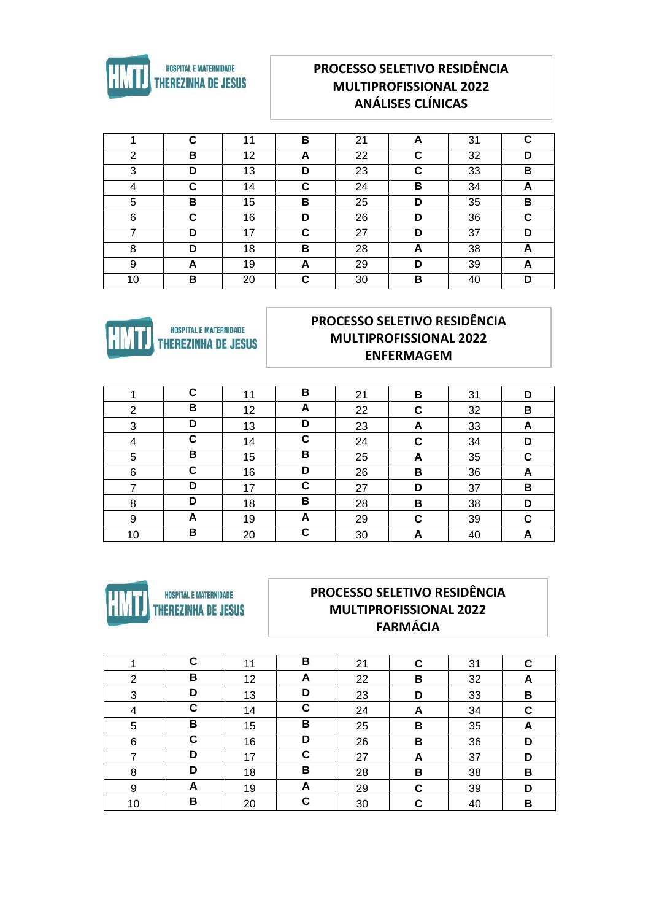

## **PROCESSO SELETIVO RESIDÊNCIA MULTIPROFISSIONAL 2022 ANÁLISES CLÍNICAS**

|    | C | 11 | В  | 21 | A | 31 | C |
|----|---|----|----|----|---|----|---|
| 2  | В | 12 | A  | 22 | C | 32 | D |
| 3  | D | 13 | D  | 23 | C | 33 | B |
| 4  | С | 14 | C  | 24 | В | 34 | A |
| 5  | В | 15 | В  | 25 | D | 35 | В |
| 6  | C | 16 | D  | 26 | D | 36 | C |
|    | D | 17 | C  | 27 | D | 37 | D |
| 8  | D | 18 | В  | 28 | A | 38 | A |
| 9  | A | 19 | A  | 29 | D | 39 | A |
| 10 | в | 20 | C. | 30 | В | 40 | D |



#### PROCESSO SELETIVO RESIDÊNCIA **MULTIPROFISSIONAL 2022 ENFERMAGEM**

|    | C | 11 | В           | 21 | в | 31 | D |
|----|---|----|-------------|----|---|----|---|
| 2  | В | 12 | A           | 22 | C | 32 | В |
| 3  | D | 13 | D           | 23 | A | 33 | A |
| 4  | С | 14 | C           | 24 | C | 34 | D |
| 5  | В | 15 | В           | 25 | A | 35 | C |
| 6  | С | 16 | D           | 26 | B | 36 | A |
|    | D | 17 | $\mathbf c$ | 27 | D | 37 | В |
| 8  | D | 18 | В           | 28 | В | 38 | D |
| 9  | A | 19 | A           | 29 | С | 39 | C |
| 10 | В | 20 | C           | 30 | A | 40 |   |



#### PROCESSO SELETIVO RESIDÊNCIA **MULTIPROFISSIONAL 2022 FARMÁCIA**

|    | C | 11 | В | 21 | C | 31 | C |
|----|---|----|---|----|---|----|---|
| 2  | В | 12 | A | 22 | B | 32 | A |
| 3  | D | 13 | D | 23 | D | 33 | В |
| 4  | С | 14 | C | 24 | A | 34 | C |
| 5  | В | 15 | В | 25 | В | 35 | A |
| 6  | C | 16 | D | 26 | В | 36 | D |
| 7  | D | 17 | C | 27 | A | 37 | D |
| 8  | D | 18 | В | 28 | B | 38 | В |
| 9  | A | 19 | A | 29 | C | 39 | D |
| 10 | В | 20 | C | 30 | C | 40 | в |